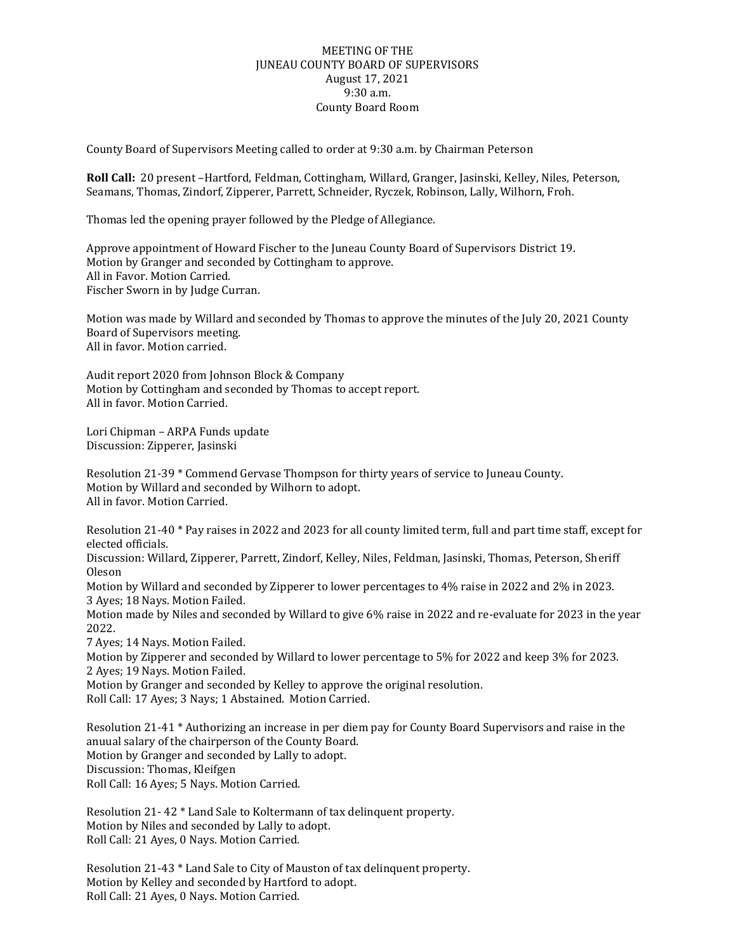## MEETING OF THE JUNEAU COUNTY BOARD OF SUPERVISORS August 17, 2021 9:30 a.m. County Board Room

County Board of Supervisors Meeting called to order at 9:30 a.m. by Chairman Peterson

**Roll Call:** 20 present –Hartford, Feldman, Cottingham, Willard, Granger, Jasinski, Kelley, Niles, Peterson, Seamans, Thomas, Zindorf, Zipperer, Parrett, Schneider, Ryczek, Robinson, Lally, Wilhorn, Froh.

Thomas led the opening prayer followed by the Pledge of Allegiance.

Approve appointment of Howard Fischer to the Juneau County Board of Supervisors District 19. Motion by Granger and seconded by Cottingham to approve. All in Favor. Motion Carried. Fischer Sworn in by Judge Curran.

Motion was made by Willard and seconded by Thomas to approve the minutes of the July 20, 2021 County Board of Supervisors meeting. All in favor. Motion carried.

Audit report 2020 from Johnson Block & Company Motion by Cottingham and seconded by Thomas to accept report. All in favor. Motion Carried.

Lori Chipman – ARPA Funds update Discussion: Zipperer, Jasinski

Resolution 21-39 \* Commend Gervase Thompson for thirty years of service to Juneau County. Motion by Willard and seconded by Wilhorn to adopt. All in favor. Motion Carried.

Resolution 21-40 \* Pay raises in 2022 and 2023 for all county limited term, full and part time staff, except for elected officials.

Discussion: Willard, Zipperer, Parrett, Zindorf, Kelley, Niles, Feldman, Jasinski, Thomas, Peterson, Sheriff Oleson

Motion by Willard and seconded by Zipperer to lower percentages to 4% raise in 2022 and 2% in 2023. 3 Ayes; 18 Nays. Motion Failed.

Motion made by Niles and seconded by Willard to give 6% raise in 2022 and re-evaluate for 2023 in the year 2022.

7 Ayes; 14 Nays. Motion Failed.

Motion by Zipperer and seconded by Willard to lower percentage to 5% for 2022 and keep 3% for 2023. 2 Ayes; 19 Nays. Motion Failed.

Motion by Granger and seconded by Kelley to approve the original resolution.

Roll Call: 17 Ayes; 3 Nays; 1 Abstained. Motion Carried.

Resolution 21-41 \* Authorizing an increase in per diem pay for County Board Supervisors and raise in the anuual salary of the chairperson of the County Board. Motion by Granger and seconded by Lally to adopt. Discussion: Thomas, Kleifgen Roll Call: 16 Ayes; 5 Nays. Motion Carried.

Resolution 21- 42 \* Land Sale to Koltermann of tax delinquent property. Motion by Niles and seconded by Lally to adopt. Roll Call: 21 Ayes, 0 Nays. Motion Carried.

Resolution 21-43 \* Land Sale to City of Mauston of tax delinquent property. Motion by Kelley and seconded by Hartford to adopt. Roll Call: 21 Ayes, 0 Nays. Motion Carried.